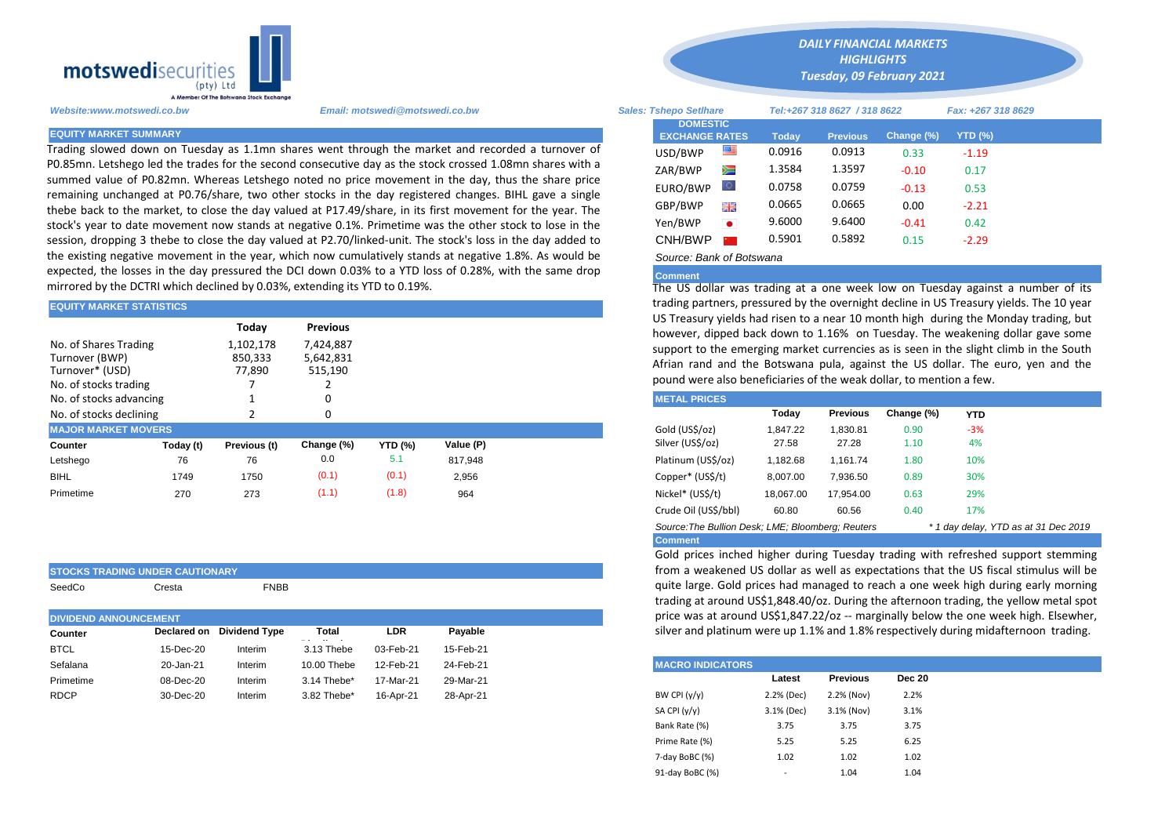

Trading slowed down on Tuesday as 1.1mn shares went through the market and recorded a turnover of P0.85mn. Letshego led the trades for the second consecutive day as the stock crossed 1.08mn shares with a summed value of P0.82mn. Whereas Letshego noted no price movement in the day, thus the share price remaining unchanged at P0.76/share, two other stocks in the day registered changes. BIHL gave a single thebe back to the market, to close the day valued at P17.49/share, in its first movement for the year. The stock's year to date movement now stands at negative 0.1%. Primetime was the other stock to lose in the session, dropping 3 thebe to close the day valued at P2.70/linked-unit. The stock's loss in the day added to the existing negative movement in the year, which now cumulatively stands at negative 1.8%. As would be expected, the losses in the day pressured the DCI down 0.03% to a YTD loss of 0.28%, with the same drop mirrored by the DCTRI which declined by 0.03%, extending its YTD to 0.19%.

| <b>EQUITY MARKET STATISTICS</b>                                                                                                                                                        |           |              |            | trading partners, pressured by the overnight decline in US Treasury yie<br>US Treasury yields had risen to a near 10 month high during the Mon |           |                                                                                                                                                                                                                                                                                        |           |                 |            |            |
|----------------------------------------------------------------------------------------------------------------------------------------------------------------------------------------|-----------|--------------|------------|------------------------------------------------------------------------------------------------------------------------------------------------|-----------|----------------------------------------------------------------------------------------------------------------------------------------------------------------------------------------------------------------------------------------------------------------------------------------|-----------|-----------------|------------|------------|
| Today<br><b>Previous</b><br>No. of Shares Trading<br>7.424.887<br>1,102,178<br>Turnover (BWP)<br>850,333<br>5,642,831<br>Turnover* (USD)<br>77,890<br>515,190<br>No. of stocks trading |           |              |            |                                                                                                                                                |           | however, dipped back down to 1.16% on Tuesday. The weakening d<br>support to the emerging market currencies as is seen in the slight cli-<br>Afrian rand and the Botswana pula, against the US dollar. The euro<br>pound were also beneficiaries of the weak dollar, to mention a few. |           |                 |            |            |
| No. of stocks advancing                                                                                                                                                                |           |              |            |                                                                                                                                                |           | <b>METAL PRICES</b>                                                                                                                                                                                                                                                                    |           |                 |            |            |
| No. of stocks declining                                                                                                                                                                |           |              |            |                                                                                                                                                |           |                                                                                                                                                                                                                                                                                        | Today     | <b>Previous</b> | Change (%) | <b>YTD</b> |
| <b>MAJOR MARKET MOVERS</b>                                                                                                                                                             |           |              |            |                                                                                                                                                |           | Gold (US\$/oz)                                                                                                                                                                                                                                                                         | 1,847.22  | 1,830.81        | 0.90       | $-3%$      |
| Counter                                                                                                                                                                                | Today (t) | Previous (t) | Change (%) | <b>YTD (%)</b>                                                                                                                                 | Value (P) | Silver (US\$/oz)                                                                                                                                                                                                                                                                       | 27.58     | 27.28           | 1.10       | 4%         |
| Letshego                                                                                                                                                                               | 76        | 76           | 0.0        | 5.1                                                                                                                                            | 817.948   | Platinum (US\$/oz)                                                                                                                                                                                                                                                                     | 1,182.68  | 1,161.74        | 1.80       | 10%        |
| <b>BIHL</b>                                                                                                                                                                            | 1749      | 1750         | (0.1)      | (0.1)                                                                                                                                          | 2,956     | Copper* (US\$/t)                                                                                                                                                                                                                                                                       | 8,007.00  | 7,936.50        | 0.89       | 30%        |
| Primetime                                                                                                                                                                              | 270       | 273          | (1.1)      | (1.8)                                                                                                                                          | 964       | Nickel* (US\$/t)                                                                                                                                                                                                                                                                       | 18,067.00 | 17,954.00       | 0.63       | 29%        |
|                                                                                                                                                                                        |           |              |            |                                                                                                                                                |           |                                                                                                                                                                                                                                                                                        |           |                 |            |            |

|  | <b>STOCKS TRADING UNDER CAUTIONARY</b> |  |
|--|----------------------------------------|--|

SeedCo Cresta FNBB

|             | <b>DIVIDEND ANNOUNCEMENT</b>                        |         |             |           |           |  |  |  |  |  |
|-------------|-----------------------------------------------------|---------|-------------|-----------|-----------|--|--|--|--|--|
| Counter     | <b>Dividend Type</b><br>LDR<br>Total<br>Declared on |         |             |           |           |  |  |  |  |  |
| <b>BTCL</b> | 15-Dec-20                                           | Interim | 3.13 Thebe  | 03-Feb-21 | 15-Feb-21 |  |  |  |  |  |
| Sefalana    | 20-Jan-21                                           | Interim | 10.00 Thebe | 12-Feb-21 | 24-Feb-21 |  |  |  |  |  |
| Primetime   | 08-Dec-20                                           | Interim | 3.14 Thebe* | 17-Mar-21 | 29-Mar-21 |  |  |  |  |  |
| <b>RDCP</b> | 30-Dec-20                                           | Interim | 3.82 Thebe* | 16-Apr-21 | 28-Apr-21 |  |  |  |  |  |
|             |                                                     |         |             |           |           |  |  |  |  |  |

*Website:www.motswedi.co.bw Email: motswedi@motswedi.co.bw Sales: Tshepo Setlhare Tel:+267 318 8627 / 318 8622 Fax: +267 318 8629*  **EQUITY MARKET SUMMARY Today Previous Change (%) YTD (%)**  $USD/BWP$  **0.0916** 0.0913 0.33 -1.19 ZAR/BWP 2 1.3584 1.3597 -0.10 0.17 **DOMESTIC EXCHANGE RATES** *Tuesday, 09 February 2021* 

*DAILY FINANCIAL MARKETS HIGHLIGHTS*

| ZAR/BWP       | ⋗⊐                    | 1.3384 | 1.3397 | -0.10   | 0.17    |
|---------------|-----------------------|--------|--------|---------|---------|
| EURO/BWP      | $\circlearrowright$   | 0.0758 | 0.0759 | $-0.13$ | 0.53    |
| GBP/BWP       | 꾉똟                    | 0.0665 | 0.0665 | 0.00    | $-2.21$ |
| Yen/BWP       | $\bullet$             | 9.6000 | 9.6400 | $-0.41$ | 0.42    |
| CNH/BWP       | <b>Profit Control</b> | 0.5901 | 0.5892 | 0.15    | $-2.29$ |
| $\sim$<br>- ' |                       |        |        |         |         |

## *Source: Bank of Botswana*

## **Comment**

The US dollar was trading at a one week low on Tuesday against a number of its trading partners, pressured by the overnight decline in US Treasury yields. The 10 year US Treasury yields had risen to a near 10 month high during the Monday trading, but however, dipped back down to 1.16% on Tuesday. The weakening dollar gave some support to the emerging market currencies as is seen in the slight climb in the South Afrian rand and the Botswana pula, against the US dollar. The euro, yen and the pound were also beneficiaries of the weak dollar, to mention a few.

| <b>METAL PRICES</b>                               |           |                 |            |            |                                      |
|---------------------------------------------------|-----------|-----------------|------------|------------|--------------------------------------|
|                                                   | Today     | <b>Previous</b> | Change (%) | <b>YTD</b> |                                      |
| Gold (US\$/oz)                                    | 1.847.22  | 1.830.81        | 0.90       | $-3%$      |                                      |
| Silver (US\$/oz)                                  | 27.58     | 27.28           | 1.10       | 4%         |                                      |
| Platinum (US\$/oz)                                | 1.182.68  | 1.161.74        | 1.80       | 10%        |                                      |
| Copper* (US\$/t)                                  | 8,007.00  | 7.936.50        | 0.89       | 30%        |                                      |
| Nickel* (US\$/t)                                  | 18.067.00 | 17,954.00       | 0.63       | 29%        |                                      |
| Crude Oil (US\$/bbl)                              | 60.80     | 60.56           | 0.40       | 17%        |                                      |
| Source: The Bullion Desk: LME: Bloomberg: Reuters |           |                 |            |            | * 1 day delay, YTD as at 31 Dec 2019 |

**Comment**

Gold prices inched higher during Tuesday trading with refreshed support stemming from a weakened US dollar as well as expectations that the US fiscal stimulus will be quite large. Gold prices had managed to reach a one week high during early morning trading at around US\$1,848.40/oz. During the afternoon trading, the yellow metal spot price was at around US\$1,847.22/oz -- marginally below the one week high. Elsewher, silver and platinum were up 1.1% and 1.8% respectively during midafternoon trading.

| <b>MACRO INDICATORS</b> |                          |                 |               |
|-------------------------|--------------------------|-----------------|---------------|
|                         | Latest                   | <b>Previous</b> | <b>Dec 20</b> |
| BW CPI $(y/y)$          | 2.2% (Dec)               | 2.2% (Nov)      | 2.2%          |
| SA CPI (y/y)            | 3.1% (Dec)               | 3.1% (Nov)      | 3.1%          |
| Bank Rate (%)           | 3.75                     | 3.75            | 3.75          |
| Prime Rate (%)          | 5.25                     | 5.25            | 6.25          |
| 7-day BoBC (%)          | 1.02                     | 1.02            | 1.02          |
| 91-day BoBC (%)         | $\overline{\phantom{a}}$ | 1.04            | 1.04          |